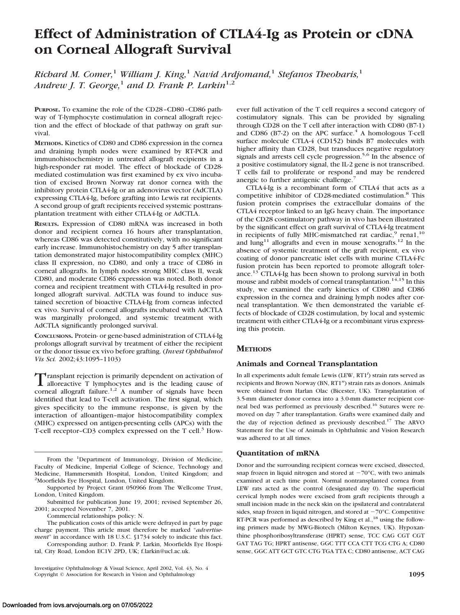# **Effect of Administration of CTLA4-Ig as Protein or cDNA on Corneal Allograft Survival**

*Richard M. Comer,*<sup>1</sup> *William J. King,*<sup>1</sup> *Navid Ardjomand,*<sup>1</sup> *Stefanos Theoharis,*<sup>1</sup> *Andrew J. T. George,*<sup>1</sup> *and D. Frank P. Larkin*<sup>1,2</sup>

**PURPOSE.** To examine the role of the CD28–CD80–CD86 pathway of T-lymphocyte costimulation in corneal allograft rejection and the effect of blockade of that pathway on graft survival.

**METHODS.** Kinetics of CD80 and CD86 expression in the cornea and draining lymph nodes were examined by RT-PCR and immunohistochemistry in untreated allograft recipients in a high-responder rat model. The effect of blockade of CD28 mediated costimulation was first examined by ex vivo incubation of excised Brown Norway rat donor cornea with the inhibitory protein CTLA4-Ig or an adenovirus vector (AdCTLA) expressing CTLA4-Ig, before grafting into Lewis rat recipients. A second group of graft recipients received systemic posttransplantation treatment with either CTLA4-Ig or AdCTLA.

**RESULTS.** Expression of CD80 mRNA was increased in both donor and recipient cornea 16 hours after transplantation, whereas CD86 was detected constitutively, with no significant early increase. Immunohistochemistry on day 5 after transplantation demonstrated major histocompatibility complex (MHC) class II expression, no CD80, and only a trace of CD86 in corneal allografts. In lymph nodes strong MHC class II, weak CD80, and moderate CD86 expression was noted. Both donor cornea and recipient treatment with CTLA4-Ig resulted in prolonged allograft survival. AdCTLA was found to induce sustained secretion of bioactive CTLA4-Ig from corneas infected ex vivo. Survival of corneal allografts incubated with AdCTLA was marginally prolonged, and systemic treatment with AdCTLA significantly prolonged survival.

**CONCLUSIONS.** Protein- or gene-based administration of CTLA4-Ig prolongs allograft survival by treatment of either the recipient or the donor tissue ex vivo before grafting. (*Invest Ophthalmol Vis Sci.* 2002;43:1095–1103)

Transplant rejection is primarily dependent on activation of alloreactive  $\text{T}$  lymphocytes and is the leading cause of corneal allograft failure.<sup>1,2</sup> A number of signals have been identified that lead to T-cell activation. The first signal, which gives specificity to the immune response, is given by the interaction of alloantigen–major histocompatibility complex (MHC) expressed on antigen-presenting cells (APCs) with the T-cell receptor-CD3 complex expressed on the T cell.<sup>3</sup> How-

From the <sup>1</sup>Department of Immunology, Division of Medicine, Faculty of Medicine, Imperial College of Science, Technology and Medicine, Hammersmith Hospital, London, United Kingdom; and 2 Moorfields Eye Hospital, London, United Kingdom.

The publication costs of this article were defrayed in part by page charge payment. This article must therefore be marked "*advertisement*" in accordance with 18 U.S.C. §1734 solely to indicate this fact.

Corresponding author: D. Frank P. Larkin, Moorfields Eye Hospital, City Road, London EC1V 2PD, UK; f.larkin@ucl.ac.uk.

Investigative Ophthalmology & Visual Science, April 2002, Vol. 43, No. 4 Copyright © Association for Research in Vision and Ophthalmology **1095**

ever full activation of the T cell requires a second category of costimulatory signals. This can be provided by signaling through CD28 on the T cell after interaction with CD80 (B7-1) and CD86 (B7-2) on the APC surface. $4$  A homologous T-cell surface molecule CTLA-4 (CD152) binds B7 molecules with higher affinity than CD28, but transduces negative regulatory signals and arrests cell cycle progression.<sup>5,6</sup> In the absence of a positive costimulatory signal, the IL-2 gene is not transcribed. T cells fail to proliferate or respond and may be rendered anergic to further antigenic challenge.<sup>7</sup>

CTLA4-Ig is a recombinant form of CTLA4 that acts as a competitive inhibitor of CD28-mediated costimulation.<sup>8</sup> This fusion protein comprises the extracellular domains of the CTLA4 receptor linked to an IgG heavy chain. The importance of the CD28 costimulatory pathway in vivo has been illustrated by the significant effect on graft survival of CTLA4-Ig treatment in recipients of fully MHC-mismatched rat cardiac,<sup>9</sup> rena1,<sup>10</sup> and  $\text{lung}^{11}$  allografts and even in mouse xenografts.<sup>12</sup> In the absence of systemic treatment of the graft recipient, ex vivo coating of donor pancreatic islet cells with murine CTLA4-Fc fusion protein has been reported to promote allograft tolerance.13 CTLA4-Ig has been shown to prolong survival in both mouse and rabbit models of corneal transplantation.<sup>14,15</sup> In this study, we examined the early kinetics of CD80 and CD86 expression in the cornea and draining lymph nodes after corneal transplantation. We then demonstrated the variable effects of blockade of CD28 costimulation, by local and systemic treatment with either CTLA4-Ig or a recombinant virus expressing this protein.

# **METHODS**

## **Animals and Corneal Transplantation**

In all experiments adult female Lewis (LEW, RT1*<sup>l</sup>* ) strain rats served as recipients and Brown Norway (BN, RT1*<sup>n</sup>* ) strain rats as donors. Animals were obtained from Harlan Olac (Bicester, UK). Transplantation of 3.5-mm diameter donor cornea into a 3.0-mm diameter recipient corneal bed was performed as previously described.16 Sutures were removed on day 7 after transplantation. Grafts were examined daily and the day of rejection defined as previously described.17 The ARVO Statement for the Use of Animals in Ophthalmic and Vision Research was adhered to at all times.

## **Quantitation of mRNA**

Donor and the surrounding recipient corneas were excised, dissected, snap frozen in liquid nitrogen and stored at  $-70^{\circ}$ C, with two animals examined at each time point. Normal nontransplanted cornea from LEW rats acted as the control (designated day 0). The superficial cervical lymph nodes were excised from graft recipients through a small incision made in the neck skin on the ipsilateral and contralateral sides, snap frozen in liquid nitrogen, and stored at  $-70^{\circ}$ C. Competitive RT-PCR was performed as described by King et al.,<sup>18</sup> using the following primers made by MWG-Biotech (Milton Keynes, UK). Hypoxanthine phosphoribosyltransferase (HPRT) sense, TCC CAG CGT CGT GAT TAG TG; HPRT antisense, GGC TTT CCA CTT TCG CTG A; CD80 sense, GGC ATT GCT GTC CTG TGA TTA C; CD80 antisense, ACT CAG

Supported by Project Grant 050966 from The Wellcome Trust, London, United Kingdom.

Submitted for publication June 19, 2001; revised September 26, 2001; accepted November 7, 2001.

Commercial relationships policy: N.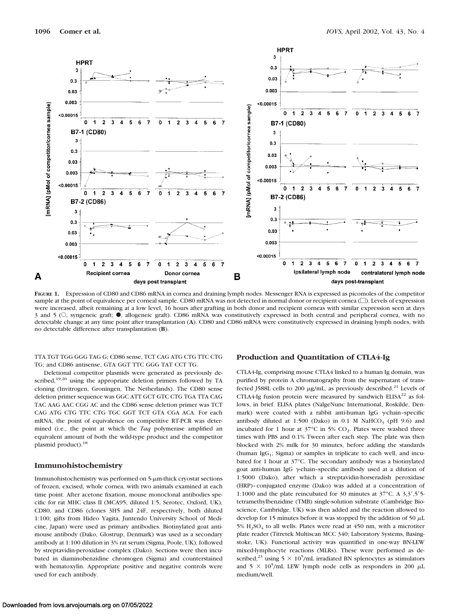

**FIGURE 1.** Expression of CD80 and CD86 mRNA in cornea and draining lymph nodes. Messenger RNA is expressed as picomoles of the competitor sample at the point of equivalence per corneal sample. CD80 mRNA was not detected in normal donor or recipient cornea  $\Box$ ). Levels of expression were increased, albeit remaining at a low level, 16 hours after grafting in both donor and recipient corneas with similar expression seen at days 3 and 5 (O, syngeneic graft;  $\bullet$ , allogeneic graft). CD86 mRNA was constitutively expressed in both central and peripheral cornea, with no detectable change at any time point after transplantation (**A**). CD80 and CD86 mRNA were constitutively expressed in draining lymph nodes, with no detectable difference after transplantation (**B**).

TTA TGT TGG GGG TAG G; CD86 sense, TCT CAG ATG CTG TTC CTG TG; and CD86 antisense, GTA GGT TTC GGG TAT CCT TG.

Deletional competitor plasmids were generated as previously described,<sup>19,20</sup> using the appropriate deletion primers followed by TA cloning (Invitrogen, Groningen, The Netherlands). The CD80 sense deletion primer sequence was GGC ATT GCT GTC CTG TGA TTA CAG TAC AAG AAC CGG AC and the CD86 sense deletion primer was TCT CAG ATG CTG TTC CTG TGC GGT TCT GTA CGA ACA. For each mRNA, the point of equivalence on competitive RT-PCR was determined (i.e., the point at which the *Taq* polymerase amplified an equivalent amount of both the wild-type product and the competitor plasmid product).<sup>18</sup>

# **Immunohistochemistry**

Immunohistochemistry was performed on  $5-\mu$ m-thick cryostat sections of frozen, excised, whole cornea, with two animals examined at each time point. After acetone fixation, mouse monoclonal antibodies specific for rat MHC class II (MCA95, diluted 1:5, Serotec, Oxford, UK), CD80, and CD86 (clones 3H5 and 24F, respectively, both diluted 1:100; gifts from Hideo Yagita, Juntendo University School of Medicine, Japan) were used as primary antibodies. Biotinylated goat antimouse antibody (Dako, Glostrup, Denmark) was used as a secondary antibody at 1:100 dilution in 3% rat serum (Sigma, Poole, UK), followed by streptavidin-peroxidase complex (Dako). Sections were then incubated in diaminobenzidine chromogen (Sigma) and counterstained with hematoxylin. Appropriate positive and negative controls were used for each antibody.

# **Production and Quantitation of CTLA4-Ig**

CTLA4-Ig, comprising mouse CTLA4 linked to a human Ig domain, was purified by protein A chromatography from the supernatant of transfected J588L cells to 200  $\mu$ g/mL, as previously described.<sup>21</sup> Levels of CTLA4-Ig fusion protein were measured by sandwich ELISA $^{22}$  as follows, in brief. ELISA plates (NalgeNunc International, Roskilde, Denmark) were coated with a rabbit anti-human IgG  $\gamma$ -chain-specific antibody diluted at 1:500 (Dako) in  $0.1$  M NaHCO<sub>3</sub> (pH  $9.6$ ) and incubated for 1 hour at  $37^{\circ}$ C in 5% CO<sub>2</sub>. Plates were washed three times with PBS and 0.1% Tween after each step. The plate was then blocked with 2% milk for 30 minutes, before adding the standards (human  $\text{IgG}_1$ ; Sigma) or samples in triplicate to each well, and incubated for 1 hour at 37°C. The secondary antibody was a biotinylated goat anti-human IgG  $\gamma$ -chain-specific antibody used at a dilution of 1:5000 (Dako), after which a streptavidin-horseradish peroxidase (HRP)–conjugated enzyme (Dako) was added at a concentration of 1:1000 and the plate reincubated for 30 minutes at  $37^{\circ}$ C. A  $3,3',5'$ 5tetramethylbenzidine (TMB) single-solution substrate (Cambridge Bioscience, Cambridge, UK) was then added and the reaction allowed to develop for 15 minutes before it was stopped by the addition of 50  $\mu$ L 5%  $H<sub>2</sub>SO<sub>4</sub>$  to all wells. Plates were read at 450 nm, with a microtiter plate reader (Titretek Multiscan MCC 340; Laboratory Systems, Basingstoke, UK). Functional activity was quantified in one-way BN-LEW mixed-lymphocyte reactions (MLRs). These were performed as described,<sup>23</sup> using  $5 \times 10^5$ /mL irradiated BN splenocytes as stimulators and  $5 \times 10^5$ /mL LEW lymph node cells as responders in 200  $\mu$ L medium/well.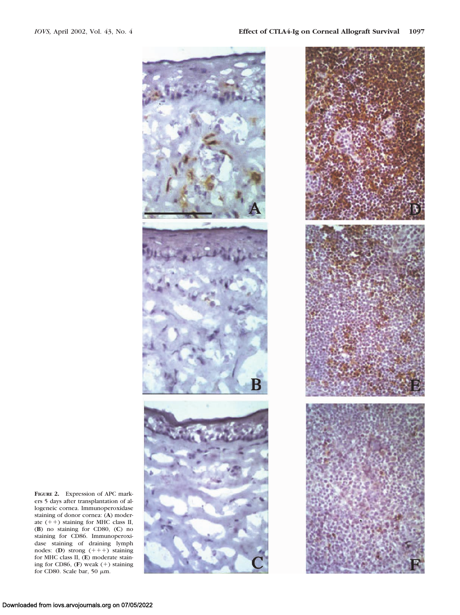



**FIGURE 2.** Expression of APC markers 5 days after transplantation of allogeneic cornea. Immunoperoxidase staining of donor cornea: (**A**) moderate  $(++)$  staining for MHC class II, (**B**) no staining for CD80, (**C**) no staining for CD86. Immunoperoxidase staining of draining lymph nodes: (**D**) strong  $(+++)$  staining for MHC class II, (**E**) moderate staining for CD86, (F) weak (+) staining for CD80. Scale bar, 50  $\mu$ m.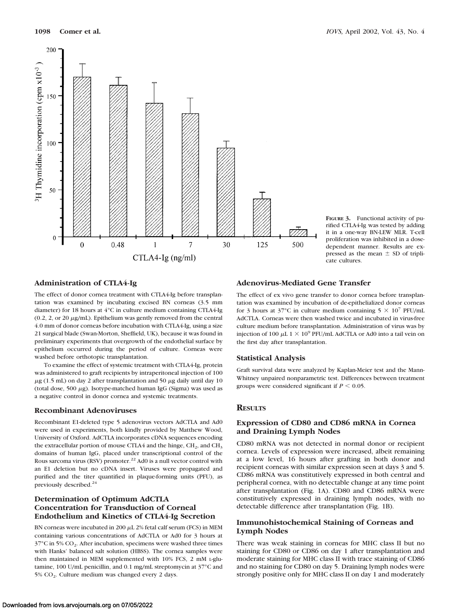

**FIGURE 3.** Functional activity of purified CTLA4-Ig was tested by adding it in a one-way BN-LEW MLR. T-cell proliferation was inhibited in a dosedependent manner. Results are expressed as the mean  $\pm$  SD of triplicate cultures.

# **Administration of CTLA4-Ig**

The effect of donor cornea treatment with CTLA4-Ig before transplantation was examined by incubating excised BN corneas (3.5 mm diameter) for 18 hours at 4°C in culture medium containing CTLA4-Ig  $(0.2, 2, \text{ or } 20 \mu\text{g/mL})$ . Epithelium was gently removed from the central 4.0 mm of donor corneas before incubation with CTLA4-Ig, using a size 21 surgical blade (Swan-Morton, Sheffield, UK), because it was found in preliminary experiments that overgrowth of the endothelial surface by epithelium occurred during the period of culture. Corneas were washed before orthotopic transplantation.

To examine the effect of systemic treatment with CTLA4-Ig, protein was administered to graft recipients by intraperitoneal injection of 100  $\mu$ g (1.5 mL) on day 2 after transplantation and 50  $\mu$ g daily until day 10 (total dose, 500  $\mu$ g). Isotype-matched human IgG (Sigma) was used as a negative control in donor cornea and systemic treatments.

# **Recombinant Adenoviruses**

Recombinant E1-deleted type 5 adenovirus vectors AdCTLA and Ad0 were used in experiments, both kindly provided by Matthew Wood, University of Oxford. AdCTLA incorporates cDNA sequences encoding the extracellular portion of mouse CTLA4 and the hinge,  $CH<sub>2</sub>$ , and  $CH<sub>3</sub>$ domains of human IgG, placed under transcriptional control of the Rous sarcoma virus (RSV) promoter.<sup>22</sup> Ad0 is a null vector control with an E1 deletion but no cDNA insert. Viruses were propagated and purified and the titer quantified in plaque-forming units (PFU), as previously described.<sup>24</sup>

# **Determination of Optimum AdCTLA Concentration for Transduction of Corneal Endothelium and Kinetics of CTLA4-Ig Secretion**

BN corneas were incubated in 200  $\mu$ L 2% fetal calf serum (FCS) in MEM containing various concentrations of AdCTLA or Ad0 for 3 hours at  $37^{\circ}$ C in 5% CO<sub>2</sub>. After incubation, specimens were washed three times with Hanks' balanced salt solution (HBSS). The cornea samples were then maintained in MEM supplemented with 10% FCS, 2 mM L-glutamine, 100 U/mL penicillin, and 0.1 mg/mL streptomycin at 37°C and  $5\%$  CO<sub>2</sub>. Culture medium was changed every 2 days.

# **Adenovirus-Mediated Gene Transfer**

The effect of ex vivo gene transfer to donor cornea before transplantation was examined by incubation of de-epithelialized donor corneas for 3 hours at 37°C in culture medium containing  $5 \times 10^7$  PFU/mL AdCTLA. Corneas were then washed twice and incubated in virus-free culture medium before transplantation. Administration of virus was by injection of 100  $\mu$ L 1  $\times$  10<sup>9</sup> PFU/mL AdCTLA or Ad0 into a tail vein on the first day after transplantation.

## **Statistical Analysis**

Graft survival data were analyzed by Kaplan-Meier test and the Mann-Whitney unpaired nonparametric test. Differences between treatment groups were considered significant if  $P \leq 0.05$ .

## **RESULTS**

# **Expression of CD80 and CD86 mRNA in Cornea and Draining Lymph Nodes**

CD80 mRNA was not detected in normal donor or recipient cornea. Levels of expression were increased, albeit remaining at a low level, 16 hours after grafting in both donor and recipient corneas with similar expression seen at days 3 and 5. CD86 mRNA was constitutively expressed in both central and peripheral cornea, with no detectable change at any time point after transplantation (Fig. 1A). CD80 and CD86 mRNA were constitutively expressed in draining lymph nodes, with no detectable difference after transplantation (Fig. 1B).

# **Immunohistochemical Staining of Corneas and Lymph Nodes**

There was weak staining in corneas for MHC class II but no staining for CD80 or CD86 on day 1 after transplantation and moderate staining for MHC class II with trace staining of CD86 and no staining for CD80 on day 5. Draining lymph nodes were strongly positive only for MHC class II on day 1 and moderately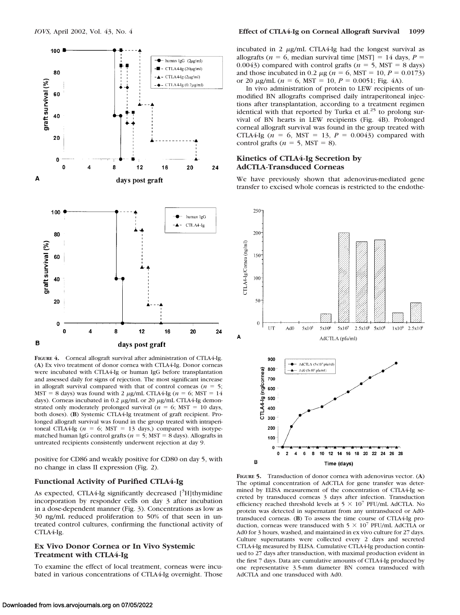

**FIGURE 4.** Corneal allograft survival after administration of CTLA4-Ig. (**A**) Ex vivo treatment of donor cornea with CTLA4-Ig. Donor corneas were incubated with CTLA4-Ig or human IgG before transplantation and assessed daily for signs of rejection. The most significant increase in allograft survival compared with that of control corneas ( $n = 5$ ; MST = 8 days) was found with 2  $\mu$ g/mL CTLA4-Ig ( $n = 6$ ; MST = 14 days). Corneas incubated in 0.2  $\mu$ g/mL or 20  $\mu$ g/mL CTLA4-Ig demonstrated only moderately prolonged survival ( $n = 6$ ; MST = 10 days, both doses). (**B**) Systemic CTLA4-Ig treatment of graft recipient. Prolonged allograft survival was found in the group treated with intraperitoneal CTLA4-Ig ( $n = 6$ ; MST = 13 days,) compared with isotypematched human IgG control grafts ( $n = 5$ ; MST = 8 days). Allografts in untreated recipients consistently underwent rejection at day 9.

positive for CD86 and weakly positive for CD80 on day 5, with no change in class II expression (Fig. 2).

# **Functional Activity of Purified CTLA4-Ig**

As expected, CTLA4-Ig significantly decreased [<sup>3</sup>H]thymidine incorporation by responder cells on day 3 after incubation in a dose-dependent manner (Fig. 3). Concentrations as low as 30 ng/mL reduced proliferation to 50% of that seen in untreated control cultures, confirming the functional activity of CTLA4-Ig.

## **Ex Vivo Donor Cornea or In Vivo Systemic Treatment with CTLA4-Ig**

To examine the effect of local treatment, corneas were incubated in various concentrations of CTLA4-Ig overnight. Those incubated in 2  $\mu$ g/mL CTLA4-Ig had the longest survival as allografts ( $n = 6$ , median survival time [MST] = 14 days,  $P =$ 0.0043) compared with control grafts ( $n = 5$ , MST = 8 days) and those incubated in 0.2  $\mu$ g ( $n = 6$ , MST = 10,  $P = 0.0173$ ) or 20  $\mu$ g/mL (*n* = 6, MST = 10, *P* = 0.0051; Fig. 4A).

In vivo administration of protein to LEW recipients of unmodified BN allografts comprised daily intraperitoneal injections after transplantation, according to a treatment regimen identical with that reported by Turka et al.<sup>25</sup> to prolong survival of BN hearts in LEW recipients (Fig. 4B). Prolonged corneal allograft survival was found in the group treated with CTLA4-Ig  $(n = 6, \text{ MST} = 13, P = 0.0043)$  compared with control grafts ( $n = 5$ , MST = 8).

## **Kinetics of CTLA4-Ig Secretion by AdCTLA-Transduced Corneas**

We have previously shown that adenovirus-mediated gene transfer to excised whole corneas is restricted to the endothe-



**FIGURE 5.** Transduction of donor cornea with adenovirus vector. (**A**) The optimal concentration of AdCTLA for gene transfer was determined by ELISA measurement of the concentration of CTLA4-Ig secreted by transduced corneas 3 days after infection. Transduction efficiency reached threshold levels at  $5 \times 10^7$  PFU/mL AdCTLA. No protein was detected in supernatant from any untransduced or Ad0 transduced corneas. (**B**) To assess the time course of CTLA4-Ig production, corneas were transduced with  $5 \times 10^7$  PFU/mL AdCTLA or Ad0 for 3 hours, washed, and maintained in ex vivo culture for 27 days. Culture supernatants were collected every 2 days and secreted CTLA4-Ig measured by ELISA. Cumulative CTLA4-Ig production continued to 27 days after transduction, with maximal production evident in the first 7 days. Data are cumulative amounts of CTLA4-Ig produced by one representative 3.5-mm diameter BN cornea transduced with AdCTLA and one transduced with Ad0.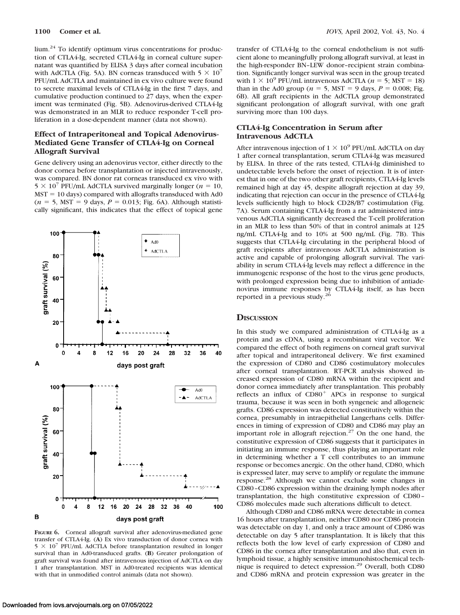lium.24 To identify optimum virus concentrations for production of CTLA4-Ig, secreted CTLA4-Ig in corneal culture supernatant was quantified by ELISA 3 days after corneal incubation with AdCTLA (Fig. 5A). BN corneas transduced with  $5 \times 10^7$ PFU/mL AdCTLA and maintained in ex vivo culture were found to secrete maximal levels of CTLA4-Ig in the first 7 days, and cumulative production continued to 27 days, when the experiment was terminated (Fig. 5B). Adenovirus-derived CTLA4-Ig was demonstrated in an MLR to reduce responder T-cell proliferation in a dose-dependent manner (data not shown).

# **Effect of Intraperitoneal and Topical Adenovirus-Mediated Gene Transfer of CTLA4-Ig on Corneal Allograft Survival**

Gene delivery using an adenovirus vector, either directly to the donor cornea before transplantation or injected intravenously, was compared. BN donor rat corneas transduced ex vivo with  $5 \times 10^7$  PFU/mL AdCTLA survived marginally longer ( $n = 10$ ,  $MST = 10$  days) compared with allografts transduced with Ad0  $(n = 5, \text{ MST} = 9 \text{ days}, P = 0.013; \text{ Fig. 6A}).$  Although statistically significant, this indicates that the effect of topical gene



**FIGURE 6.** Corneal allograft survival after adenovirus-mediated gene transfer of CTLA4-Ig. (**A**) Ex vivo transduction of donor cornea with  $5 \times 10^7$  PFU/mL AdCTLA before transplantation resulted in longer survival than in Ad0-transduced grafts. (**B**) Greater prolongation of graft survival was found after intravenous injection of AdCTLA on day 1 after transplantation. MST in Ad0-treated recipients was identical with that in unmodified control animals (data not shown).

transfer of CTLA4-Ig to the corneal endothelium is not sufficient alone to meaningfully prolong allograft survival, at least in the high-responder BN–LEW donor–recipient strain combination. Significantly longer survival was seen in the group treated with  $1 \times 10^9$  PFU/mL intravenous AdCTLA ( $n = 5$ ; MST = 18) than in the Ad0 group ( $n = 5$ , MST = 9 days,  $P = 0.008$ ; Fig. 6B). All graft recipients in the AdCTLA group demonstrated significant prolongation of allograft survival, with one graft surviving more than 100 days.

## **CTLA4-Ig Concentration in Serum after Intravenous AdCTLA**

After intravenous injection of  $1 \times 10^9$  PFU/mL AdCTLA on day 1 after corneal transplantation, serum CTLA4-Ig was measured by ELISA. In three of the rats tested, CTLA4-Ig diminished to undetectable levels before the onset of rejection. It is of interest that in one of the two other graft recipients, CTLA4-Ig levels remained high at day 45, despite allograft rejection at day 39, indicating that rejection can occur in the presence of CTLA4-Ig levels sufficiently high to block CD28/B7 costimulation (Fig. 7A). Serum containing CTLA4-Ig from a rat administered intravenous AdCTLA significantly decreased the T-cell proliferation in an MLR to less than 50% of that in control animals at 125 ng/mL CTLA4-Ig and to 10% at 500 ng/mL (Fig. 7B). This suggests that CTLA4-Ig circulating in the peripheral blood of graft recipients after intravenous AdCTLA administration is active and capable of prolonging allograft survival. The variability in serum CTLA4-Ig levels may reflect a difference in the immunogenic response of the host to the virus gene products, with prolonged expression being due to inhibition of antiadenovirus immune responses by CTLA4-Ig itself, as has been reported in a previous study.26

#### **DISCUSSION**

In this study we compared administration of CTLA4-Ig as a protein and as cDNA, using a recombinant viral vector. We compared the effect of both regimens on corneal graft survival after topical and intraperitoneal delivery. We first examined the expression of CD80 and CD86 costimulatory molecules after corneal transplantation. RT-PCR analysis showed increased expression of CD80 mRNA within the recipient and donor cornea immediately after transplantation. This probably reflects an influx of  $CD80<sup>+</sup>$  APCs in response to surgical trauma, because it was seen in both syngeneic and allogeneic grafts. CD86 expression was detected constitutively within the cornea, presumably in intraepithelial Langerhans cells. Differences in timing of expression of CD80 and CD86 may play an important role in allograft rejection.27 On the one hand, the constitutive expression of CD86 suggests that it participates in initiating an immune response, thus playing an important role in determining whether a T cell contributes to an immune response or becomes anergic. On the other hand, CD80, which is expressed later, may serve to amplify or regulate the immune response.28 Although we cannot exclude some changes in CD80–CD86 expression within the draining lymph nodes after transplantation, the high constitutive expression of CD80– CD86 molecules made such alterations difficult to detect.

Although CD80 and CD86 mRNA were detectable in cornea 16 hours after transplantation, neither CD80 nor CD86 protein was detectable on day 1, and only a trace amount of CD86 was detectable on day 5 after transplantation. It is likely that this reflects both the low level of early expression of CD80 and CD86 in the cornea after transplantation and also that, even in lymphoid tissue, a highly sensitive immunohistochemical technique is required to detect expression.29 Overall, both CD80 and CD86 mRNA and protein expression was greater in the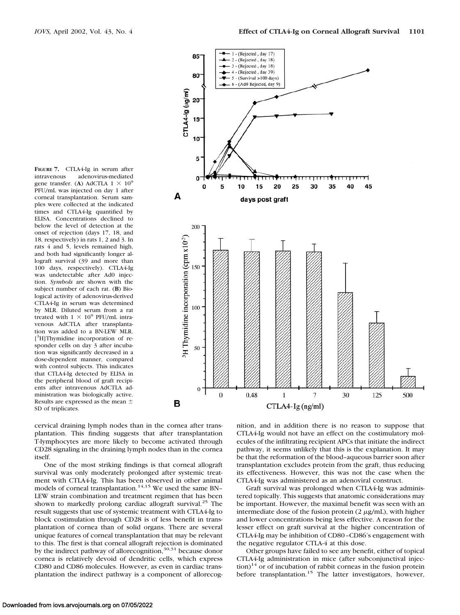**FIGURE 7.** CTLA4-Ig in serum after intravenous adenovirus-mediated gene transfer. (A) AdCTLA  $1 \times 10^9$ PFU/mL was injected on day 1 after corneal transplantation. Serum samples were collected at the indicated times and CTLA4-Ig quantified by ELISA. Concentrations declined to below the level of detection at the onset of rejection (days 17, 18, and 18, respectively) in rats 1, 2 and 3. In rats 4 and 5, levels remained high, and both had significantly longer allograft survival (39 and more than 100 days, respectively). CTLA4-Ig was undetectable after Ad0 injection. *Symbols* are shown with the subject number of each rat. (**B**) Biological activity of adenovirus-derived CTLA4-Ig in serum was determined by MLR. Diluted serum from a rat treated with  $1 \times 10^9$  PFU/mL intravenous AdCTLA after transplantation was added to a BN-LEW MLR. [ 3 H]Thymidine incorporation of responder cells on day 3 after incubation was significantly decreased in a dose-dependent manner, compared with control subjects. This indicates that CTLA4-Ig detected by ELISA in the peripheral blood of graft recipients after intravenous AdCTLA administration was biologically active. Results are expressed as the mean SD of triplicates.



cervical draining lymph nodes than in the cornea after transplantation. This finding suggests that after transplantation T-lymphocytes are more likely to become activated through CD28 signaling in the draining lymph nodes than in the cornea itself.

One of the most striking findings is that corneal allograft survival was only moderately prolonged after systemic treatment with CTLA4-Ig. This has been observed in other animal models of corneal transplantation.<sup>14,15</sup> We used the same BN-LEW strain combination and treatment regimen that has been shown to markedly prolong cardiac allograft survival.<sup>25</sup> The result suggests that use of systemic treatment with CTLA4-Ig to block costimulation through CD28 is of less benefit in transplantation of cornea than of solid organs. There are several unique features of corneal transplantation that may be relevant to this. The first is that corneal allograft rejection is dominated by the indirect pathway of allorecognition,<sup>30,31</sup> because donor cornea is relatively devoid of dendritic cells, which express CD80 and CD86 molecules. However, as even in cardiac transplantation the indirect pathway is a component of allorecognition, and in addition there is no reason to suppose that CTLA4-Ig would not have an effect on the costimulatory molecules of the infiltrating recipient APCs that initiate the indirect pathway, it seems unlikely that this is the explanation. It may be that the reformation of the blood–aqueous barrier soon after transplantation excludes protein from the graft, thus reducing its effectiveness. However, this was not the case when the CTLA4-Ig was administered as an adenoviral construct.

Graft survival was prolonged when CTLA4-Ig was administered topically. This suggests that anatomic considerations may be important. However, the maximal benefit was seen with an intermediate dose of the fusion protein  $(2 \mu g/mL)$ , with higher and lower concentrations being less effective. A reason for the lesser effect on graft survival at the higher concentration of CTLA4-Ig may be inhibition of CD80–CD86's engagement with the negative regulator CTLA-4 at this dose.

Other groups have failed to see any benefit, either of topical CTLA4-Ig administration in mice (after subconjunctival injec- $\text{tion}$ <sup>14</sup> or of incubation of rabbit corneas in the fusion protein before transplantation.<sup>15</sup> The latter investigators, however,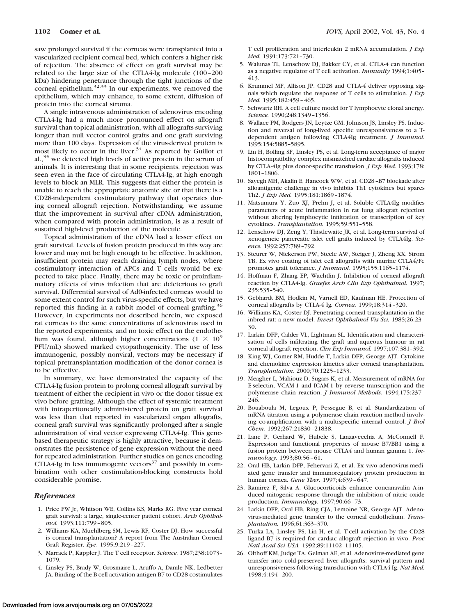saw prolonged survival if the corneas were transplanted into a vascularized recipient corneal bed, which confers a higher risk of rejection. The absence of effect on graft survival may be related to the large size of the CTLA4-Ig molecule (100–200 kDa) hindering penetrance through the tight junctions of the corneal epithelium.32,33 In our experiments, we removed the epithelium, which may enhance, to some extent, diffusion of protein into the corneal stroma.

A single intravenous administration of adenovirus encoding CTLA4-Ig had a much more pronounced effect on allograft survival than topical administration, with all allografts surviving longer than null vector control grafts and one graft surviving more than 100 days. Expression of the virus-derived protein is most likely to occur in the liver. $34$  As reported by Guillot et al.,35 we detected high levels of active protein in the serum of animals. It is interesting that in some recipients, rejection was seen even in the face of circulating CTLA4-Ig, at high enough levels to block an MLR. This suggests that either the protein is unable to reach the appropriate anatomic site or that there is a CD28-independent costimulatory pathway that operates during corneal allograft rejection. Notwithstanding, we assume that the improvement in survival after cDNA administration, when compared with protein administration, is as a result of sustained high-level production of the molecule.

Topical administration of the cDNA had a lesser effect on graft survival. Levels of fusion protein produced in this way are lower and may not be high enough to be effective. In addition, insufficient protein may reach draining lymph nodes, where costimulatory interaction of APCs and T cells would be expected to take place. Finally, there may be toxic or proinflammatory effects of virus infection that are deleterious to graft survival. Differential survival of Ad0-infected corneas would to some extent control for such virus-specific effects, but we have reported this finding in a rabbit model of corneal grafting.<sup>36</sup> However, in experiments not described herein, we exposed rat corneas to the same concentrations of adenovirus used in the reported experiments, and no toxic effect on the endothelium was found, although higher concentrations (1  $\times$  10<sup>9</sup> PFU/mL) showed marked cytopathogenicity. The use of less immunogenic, possibly nonviral, vectors may be necessary if topical pretransplantation modification of the donor cornea is to be effective.

In summary, we have demonstrated the capacity of the CTLA4-Ig fusion protein to prolong corneal allograft survival by treatment of either the recipient in vivo or the donor tissue ex vivo before grafting. Although the effect of systemic treatment with intraperitoneally administered protein on graft survival was less than that reported in vascularized organ allografts, corneal graft survival was significantly prolonged after a single administration of viral vector expressing CTLA4-Ig. This genebased therapeutic strategy is highly attractive, because it demonstrates the persistence of gene expression without the need for repeated administration. Further studies on genes encoding CTLA4-Ig in less immunogenic vectors $37$  and possibly in combination with other costimulation-blocking constructs hold considerable promise.

#### *References*

- 1. Price FW Jr, Whitson WE, Collins KS, Marks RG. Five year corneal graft survival: a large, single-center patient cohort. *Arch Ophthalmol.* 1993;111:799–805.
- 2. Williams KA, Muehlberg SM, Lewis RF, Coster DJ. How successful is corneal transplantation? A report from The Australian Corneal Graft Register. *Eye*. 1995;9:219–227.
- 3. Marrack P, Kappler J. The T cell receptor. *Science.* 1987;238:1073– 1079.
- 4. Linsley PS, Brady W, Grosmaire L, Aruffo A, Damle NK, Ledbetter JA. Binding of the B cell activation antigen B7 to CD28 costimulates

T cell proliferation and interleukin 2 mRNA accumulation. *J Exp Med.* 1991;173:721–730.

- 5. Walunas TL, Lenschow DJ, Bakker CY, et al. CTLA-4 can function as a negative regulator of T cell activation. *Immunity* 1994;1:405– 413.
- 6. Krummel MF, Allison JP. CD28 and CTLA-4 deliver opposing signals which regulate the response of T cells to stimulation. *J Exp Med.* 1995;182:459–465.
- 7. Schwartz RH. A cell culture model for T lymphocyte clonal anergy. *Science.* 1990;248:1349–1356.
- 8. Wallace PM, Rodgers JN, Leytze GM, Johnson JS, Linsley PS. Induction and reversal of long-lived specific unresponsiveness to a Tdependent antigen following CTLA4Ig treatment. *J Immunol.* 1995;154:5885–5895.
- 9. Lin H, Bolling SF, Linsley PS, et al*.* Long-term acceptance of major histocompatibility complex mismatched cardiac allografts induced by CTLA-4Ig plus donor-specific transfusion. *J Exp Med.* 1993;178: 1801–1806.
- 10. Sayegh MH, Akalin E, Hancock WW, et al. CD28–B7 blockade after alloantigenic challenge in vivo inhibits Th1 cytokines but spares Th2. *J Exp Med.* 1995;181:1869–1874.
- 11. Matsumura Y, Zuo XJ, Prehn J**,** et al. Soluble CTLA4Ig modifies parameters of acute inflammation in rat lung allograft rejection without altering lymphocytic infiltration or transcription of key cytokines. *Transplantation.* 1995;59:551–558.
- 12. Lenschow DJ, Zeng Y, Thistlewaite JR, et al. Long-term survival of xenogeneic pancreatic islet cell grafts induced by CTLA4Ig. *Science.* 1992;257:789–792.
- 13. Steurer W, Nickerson PW, Steele AW, Steiger J, Zheng XX, Strom TB. Ex vivo coating of islet cell allografts with murine CTLA4/Fc promotes graft tolerance. *J Immunol.* 1995;155:1165–1174.
- 14. Hoffman F, Zhang EP, Wachtlin J. Inhibition of corneal allograft reaction by CTLA4-Ig. *Graefes Arch Clin Exp Ophthalmol.* 1997; 235:535–540.
- 15. Gebhardt BM, Hodkin M, Varnell ED, Kaufman HE. Protection of corneal allografts by CTLA-4 Ig*. Cornea.* 1999;18:314–320.
- 16. Williams KA, Coster DJ. Penetrating corneal transplantation in the inbred rat: a new model. *Invest Ophthalmol Vis Sci.* 1985;26:23– 30.
- 17. Larkin DFP, Calder VL, Lightman SL. Identification and characterisation of cells infiltrating the graft and aqueous humour in rat corneal allograft rejection. *Clin Exp Immunol.* 1997;107:381–392.
- 18. King WJ, Comer RM, Hudde T, Larkin DFP, George AJT. Cytokine and chemokine expression kinetics after corneal transplantation. *Transplantation.* 2000;70:1225–1233.
- 19. Meagher L, Mahiouz D, Sugars K, et al. Measurement of mRNA for E-selectin, VCAM-1 and ICAM-1 by reverse transcription and the polymerase chain reaction. *J Immunol Methods.* 1994;175:237– 246.
- 20. Bouaboula M, Legoux P, Pessegue B, et al. Standardization of mRNA titration using a polymerase chain reaction method involving co-amplification with a multispecific internal control. *J Biol Chem.* 1992;267:21830–21838.
- 21. Lane P, Gerhard W, Hubele S, Lanzavecchia A, McConnell F. Expression and functional properties of mouse B7/BB1 using a fusion protein between mouse CTLA4 and human gamma 1. *Immunology.* 1993;80:56–61.
- 22. Oral HB, Larkin DFP, Fehervari Z, et al. Ex vivo adenovirus-mediated gene transfer and immunoregulatory protein production in human cornea. *Gene Ther.* 1997;4:639–647.
- 23. Ramirez F, Silva A. Glucocorticoids enhance concanavalin A-induced mitogenic response through the inhibition of nitric oxide production. *Immunology.* 1997;90:66–73.
- 24. Larkin DFP, Oral HB, Ring CJA, Lemoine NR, George AJT. Adenovirus-mediated gene transfer to the corneal endothelium. *Transplantation.* 1996;61:363–370.
- 25. Turka LA, Linsley PS, Lin H, et al. T-cell activation by the CD28 ligand B7 is required for cardiac allograft rejection in vivo. *Proc Natl Acad Sci USA.* 1992;89:11102–11105.
- 26. Olthoff KM, Judge TA, Gelman AE, et al. Adenovirus-mediated gene transfer into cold-preserved liver allografts: survival pattern and unresponsiveness following transduction with CTLA4-Ig. *Nat Med.* 1998;4:194–200.